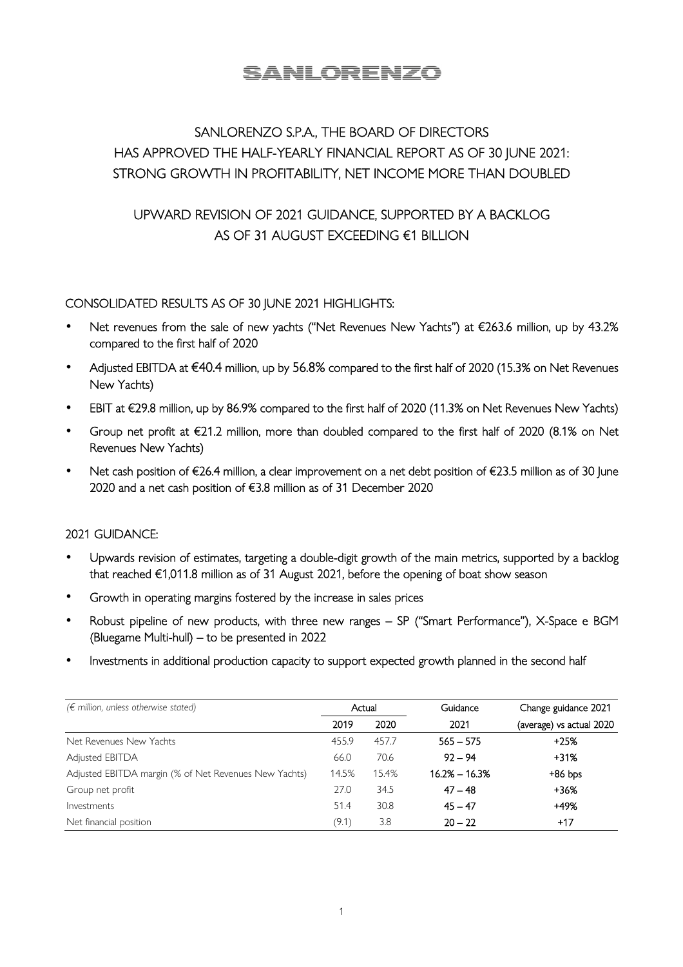# **SANLORENZO**

## SANLORENZO S.P.A., THE BOARD OF DIRECTORS HAS APPROVED THE HALF-YEARLY FINANCIAL REPORT AS OF 30 JUNE 2021: STRONG GROWTH IN PROFITABILITY, NET INCOME MORE THAN DOUBLED

## UPWARD REVISION OF 2021 GUIDANCE, SUPPORTED BY A BACKLOG AS OF 31 AUGUST EXCEEDING €1 BILLION

## CONSOLIDATED RESULTS AS OF 30 JUNE 2021 HIGHLIGHTS:

- Net revenues from the sale of new yachts ("Net Revenues New Yachts") at €263.6 million, up by 43.2% compared to the first half of 2020
- Adjusted EBITDA at €40.4 million, up by 56.8% compared to the first half of 2020 (15.3% on Net Revenues New Yachts)
- EBIT at €29.8 million, up by 86.9% compared to the first half of 2020 (11.3% on Net Revenues New Yachts)
- Group net profit at €21.2 million, more than doubled compared to the first half of 2020 (8.1% on Net Revenues New Yachts)
- Net cash position of €26.4 million, a clear improvement on a net debt position of €23.5 million as of 30 June 2020 and a net cash position of €3.8 million as of 31 December 2020

### 2021 GUIDANCE:

- Upwards revision of estimates, targeting a double-digit growth of the main metrics, supported by a backlog that reached €1,011.8 million as of 31 August 2021, before the opening of boat show season
- Growth in operating margins fostered by the increase in sales prices
- Robust pipeline of new products, with three new ranges SP ("Smart Performance"), X-Space e BGM (Bluegame Multi-hull) – to be presented in 2022
- Investments in additional production capacity to support expected growth planned in the second half

| $(\epsilon$ million, unless otherwise stated)         |       | Actual | Guidance          | Change guidance 2021     |  |
|-------------------------------------------------------|-------|--------|-------------------|--------------------------|--|
|                                                       | 2019  | 2020   | 2021              | (average) vs actual 2020 |  |
| Net Revenues New Yachts                               | 455.9 | 457.7  | $565 - 575$       | +25%                     |  |
| Adjusted EBITDA                                       | 66.0  | 70.6   | $92 - 94$         | $+31%$                   |  |
| Adjusted EBITDA margin (% of Net Revenues New Yachts) | 14.5% | 15.4%  | $16.2\% - 16.3\%$ | $+86$ bps                |  |
| Group net profit                                      | 27.0  | 34.5   | $47 - 48$         | $+36%$                   |  |
| Investments                                           | 51.4  | 30.8   | $45 - 47$         | +49%                     |  |
| Net financial position                                | (9.1) | 3.8    | $20 - 22$         | $+17$                    |  |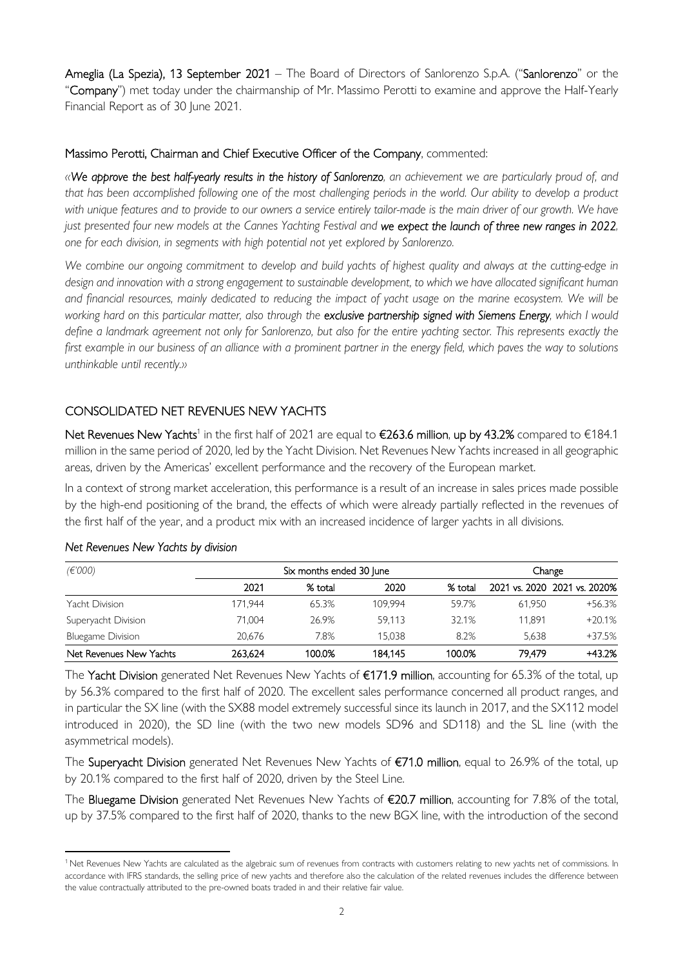Ameglia (La Spezia), 13 September 2021 – The Board of Directors of Sanlorenzo S.p.A. ("Sanlorenzo" or the "Company") met today under the chairmanship of Mr. Massimo Perotti to examine and approve the Half-Yearly Financial Report as of 30 June 2021.

### Massimo Perotti, Chairman and Chief Executive Officer of the Company, commented:

*«We approve the best half-yearly results in the history of Sanlorenzo, an achievement we are particularly proud of, and that has been accomplished following one of the most challenging periods in the world. Our ability to develop a product*  with unique features and to provide to our owners a service entirely tailor-made is the main driver of our growth. We have just presented four new models at the Cannes Yachting Festival and we expect the launch of three new ranges in 2022, *one for each division, in segments with high potential not yet explored by Sanlorenzo.* 

*We combine our ongoing commitment to develop and build yachts of highest quality and always at the cutting-edge in design and innovation with a strong engagement to sustainable development, to which we have allocated significant human and financial resources, mainly dedicated to reducing the impact of yacht usage on the marine ecosystem. We will be working hard on this particular matter, also through the exclusive partnership signed with Siemens Energy, which I would define a landmark agreement not only for Sanlorenzo, but also for the entire yachting sector. This represents exactly the first example in our business of an alliance with a prominent partner in the energy field, which paves the way to solutions unthinkable until recently.»* 

## CONSOLIDATED NET REVENUES NEW YACHTS

 $N$ et Revenues  $N$ ew Yachts<sup>1</sup> in the first half of 2021 are equal to €263.6 million, up by 43.2% compared to €184.1 million in the same period of 2020, led by the Yacht Division. Net Revenues New Yachts increased in all geographic areas, driven by the Americas' excellent performance and the recovery of the European market.

In a context of strong market acceleration, this performance is a result of an increase in sales prices made possible by the high-end positioning of the brand, the effects of which were already partially reflected in the revenues of the first half of the year, and a product mix with an increased incidence of larger yachts in all divisions.

| (E'000)                  | Six months ended 30 June | Change  |         |         |        |                              |
|--------------------------|--------------------------|---------|---------|---------|--------|------------------------------|
|                          | 2021                     | % total | 2020    | % total |        | 2021 vs. 2020 2021 vs. 2020% |
| Yacht Division           | 171.944                  | 65.3%   | 109.994 | 59.7%   | 61.950 | $+56.3%$                     |
| Superyacht Division      | 71.004                   | 26.9%   | 59.113  | 32.1%   | 11.891 | $+20.1%$                     |
| <b>Bluegame Division</b> | 20.676                   | 7.8%    | 15.038  | 8.2%    | 5.638  | $+37.5%$                     |
| Net Revenues New Yachts  | 263.624                  | 100.0%  | 184.145 | 100.0%  | 79.479 | $+43.2%$                     |

### *Net Revenues New Yachts by division*

The Yacht Division generated Net Revenues New Yachts of €171.9 million, accounting for 65.3% of the total, up by 56.3% compared to the first half of 2020. The excellent sales performance concerned all product ranges, and in particular the SX line (with the SX88 model extremely successful since its launch in 2017, and the SX112 model introduced in 2020), the SD line (with the two new models SD96 and SD118) and the SL line (with the asymmetrical models).

The Superyacht Division generated Net Revenues New Yachts of €71.0 million, equal to 26.9% of the total, up by 20.1% compared to the first half of 2020, driven by the Steel Line.

The Bluegame Division generated Net Revenues New Yachts of €20.7 million, accounting for 7.8% of the total, up by 37.5% compared to the first half of 2020, thanks to the new BGX line, with the introduction of the second

<sup>&</sup>lt;sup>1</sup> Net Revenues New Yachts are calculated as the algebraic sum of revenues from contracts with customers relating to new yachts net of commissions. In accordance with IFRS standards, the selling price of new yachts and therefore also the calculation of the related revenues includes the difference between the value contractually attributed to the pre-owned boats traded in and their relative fair value.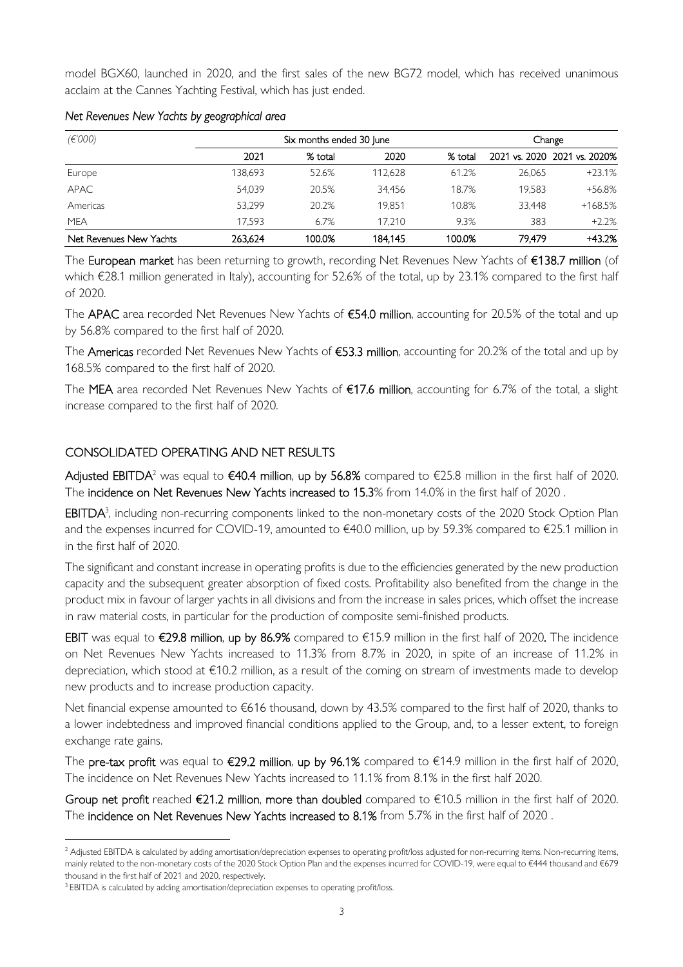model BGX60, launched in 2020, and the first sales of the new BG72 model, which has received unanimous acclaim at the Cannes Yachting Festival, which has just ended.

| (E'000)                 | Six months ended 30 June |         |         |         | Change |                              |
|-------------------------|--------------------------|---------|---------|---------|--------|------------------------------|
|                         | 2021                     | % total | 2020    | % total |        | 2021 vs. 2020 2021 vs. 2020% |
| Europe                  | 138.693                  | 52.6%   | 112.628 | 61.2%   | 26.065 | $+23.1%$                     |
| <b>APAC</b>             | 54.039                   | 20.5%   | 34.456  | 18.7%   | 19.583 | +56.8%                       |
| Americas                | 53.299                   | 20.2%   | 19.851  | 10.8%   | 33.448 | +168.5%                      |
| <b>MEA</b>              | 17.593                   | 6.7%    | 17.210  | 9.3%    | 383    | $+2.2%$                      |
| Net Revenues New Yachts | 263.624                  | 100.0%  | 184.145 | 100.0%  | 79.479 | +43.2%                       |

### *Net Revenues New Yachts by geographical area*

The European market has been returning to growth, recording Net Revenues New Yachts of €138.7 million (of which €28.1 million generated in Italy), accounting for 52.6% of the total, up by 23.1% compared to the first half of 2020.

The APAC area recorded Net Revenues New Yachts of €54.0 million, accounting for 20.5% of the total and up by 56.8% compared to the first half of 2020.

The Americas recorded Net Revenues New Yachts of €53.3 million, accounting for 20.2% of the total and up by 168.5% compared to the first half of 2020.

The MEA area recorded Net Revenues New Yachts of €17.6 million, accounting for 6.7% of the total, a slight increase compared to the first half of 2020.

## CONSOLIDATED OPERATING AND NET RESULTS

Adjusted EBITDA<sup>2</sup> was equal to  $\epsilon$ 40.4 million, up by 56.8% compared to  $\epsilon$ 25.8 million in the first half of 2020. The incidence on Net Revenues New Yachts increased to 15.3% from 14.0% in the first half of 2020 .

EBITDA<sup>3</sup>, including non-recurring components linked to the non-monetary costs of the 2020 Stock Option Plan and the expenses incurred for COVID-19, amounted to €40.0 million, up by 59.3% compared to €25.1 million in in the first half of 2020.

The significant and constant increase in operating profits is due to the efficiencies generated by the new production capacity and the subsequent greater absorption of fixed costs. Profitability also benefited from the change in the product mix in favour of larger yachts in all divisions and from the increase in sales prices, which offset the increase in raw material costs, in particular for the production of composite semi-finished products.

EBIT was equal to €29.8 million, up by 86.9% compared to €15.9 million in the first half of 2020. The incidence on Net Revenues New Yachts increased to 11.3% from 8.7% in 2020, in spite of an increase of 11.2% in depreciation, which stood at €10.2 million, as a result of the coming on stream of investments made to develop new products and to increase production capacity.

Net financial expense amounted to €616 thousand, down by 43.5% compared to the first half of 2020, thanks to a lower indebtedness and improved financial conditions applied to the Group, and, to a lesser extent, to foreign exchange rate gains.

The pre-tax profit was equal to €29.2 million, up by 96.1% compared to €14.9 million in the first half of 2020. The incidence on Net Revenues New Yachts increased to 11.1% from 8.1% in the first half 2020.

Group net profit reached €21.2 million, more than doubled compared to €10.5 million in the first half of 2020. The incidence on Net Revenues New Yachts increased to 8.1% from 5.7% in the first half of 2020 .

<sup>&</sup>lt;sup>2</sup> Adjusted EBITDA is calculated by adding amortisation/depreciation expenses to operating profit/loss adjusted for non-recurring items. Non-recurring items, mainly related to the non-monetary costs of the 2020 Stock Option Plan and the expenses incurred for COVID-19, were equal to €444 thousand and €679 thousand in the first half of 2021 and 2020, respectively.

<sup>&</sup>lt;sup>3</sup> EBITDA is calculated by adding amortisation/depreciation expenses to operating profit/loss.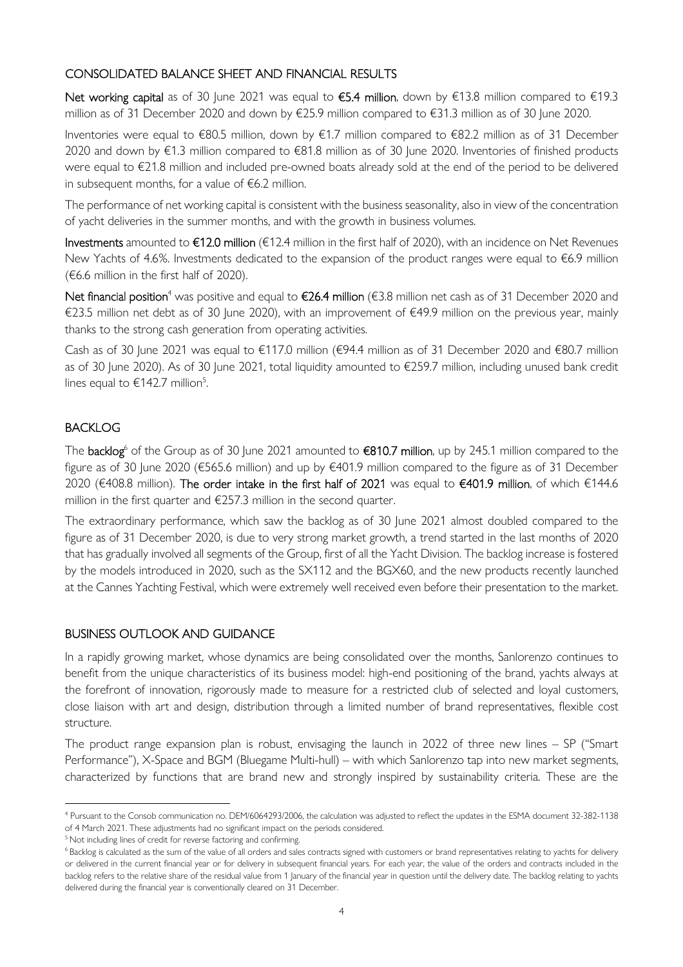## CONSOLIDATED BALANCE SHEET AND FINANCIAL RESULTS

Net working capital as of 30 June 2021 was equal to €5.4 million, down by €13.8 million compared to €19.3 million as of 31 December 2020 and down by €25.9 million compared to €31.3 million as of 30 June 2020.

Inventories were equal to €80.5 million, down by €1.7 million compared to €82.2 million as of 31 December 2020 and down by €1.3 million compared to €81.8 million as of 30 June 2020. Inventories of finished products were equal to €21.8 million and included pre-owned boats already sold at the end of the period to be delivered in subsequent months, for a value of €6.2 million.

The performance of net working capital is consistent with the business seasonality, also in view of the concentration of yacht deliveries in the summer months, and with the growth in business volumes.

Investments amounted to €12.0 million (€12.4 million in the first half of 2020), with an incidence on Net Revenues New Yachts of 4.6%. Investments dedicated to the expansion of the product ranges were equal to €6.9 million (€6.6 million in the first half of 2020).

Net financial position<sup>4</sup> was positive and equal to €26.4 million (€3.8 million net cash as of 31 December 2020 and €23.5 million net debt as of 30 June 2020), with an improvement of €49.9 million on the previous year, mainly thanks to the strong cash generation from operating activities.

Cash as of 30 June 2021 was equal to €117.0 million (€94.4 million as of 31 December 2020 and €80.7 million as of 30 June 2020). As of 30 June 2021, total liquidity amounted to €259.7 million, including unused bank credit lines equal to  $\text{£}142.7$  million<sup>5</sup>.

## BACKLOG

The **backlog**<sup>6</sup> of the Group as of 30 June 2021 amounted to **€810.7 million**, up by 245.1 million compared to the figure as of 30 June 2020 (€565.6 million) and up by €401.9 million compared to the figure as of 31 December 2020 (€408.8 million). The order intake in the first half of 2021 was equal to €401.9 million, of which €144.6 million in the first quarter and €257.3 million in the second quarter.

The extraordinary performance, which saw the backlog as of 30 June 2021 almost doubled compared to the figure as of 31 December 2020, is due to very strong market growth, a trend started in the last months of 2020 that has gradually involved all segments of the Group, first of all the Yacht Division. The backlog increase is fostered by the models introduced in 2020, such as the SX112 and the BGX60, and the new products recently launched at the Cannes Yachting Festival, which were extremely well received even before their presentation to the market.

## BUSINESS OUTLOOK AND GUIDANCE

In a rapidly growing market, whose dynamics are being consolidated over the months, Sanlorenzo continues to benefit from the unique characteristics of its business model: high-end positioning of the brand, yachts always at the forefront of innovation, rigorously made to measure for a restricted club of selected and loyal customers, close liaison with art and design, distribution through a limited number of brand representatives, flexible cost structure.

The product range expansion plan is robust, envisaging the launch in 2022 of three new lines – SP ("Smart Performance"), X-Space and BGM (Bluegame Multi-hull) – with which Sanlorenzo tap into new market segments, characterized by functions that are brand new and strongly inspired by sustainability criteria. These are the

<sup>4</sup> Pursuant to the Consob communication no. DEM/6064293/2006, the calculation was adjusted to reflect the updates in the ESMA document 32-382-1138 of 4 March 2021. These adjustments had no significant impact on the periods considered.

<sup>&</sup>lt;sup>5</sup> Not including lines of credit for reverse factoring and confirming.

<sup>&</sup>lt;sup>6</sup>Backlog is calculated as the sum of the value of all orders and sales contracts signed with customers or brand representatives relating to yachts for delivery or delivered in the current financial year or for delivery in subsequent financial years. For each year, the value of the orders and contracts included in the backlog refers to the relative share of the residual value from 1 January of the financial year in question until the delivery date. The backlog relating to yachts delivered during the financial year is conventionally cleared on 31 December.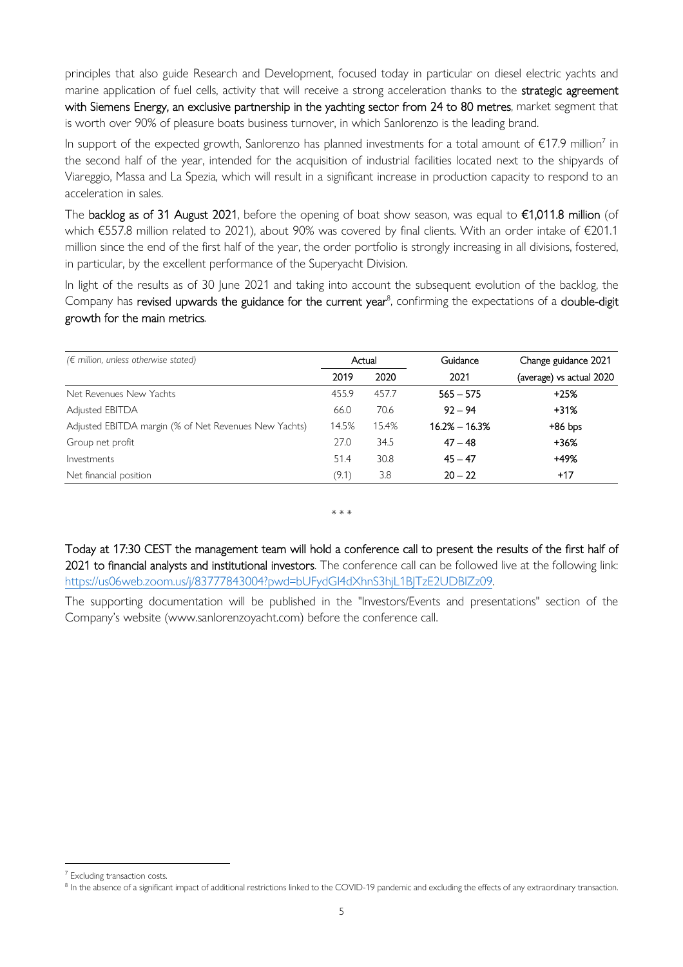principles that also guide Research and Development, focused today in particular on diesel electric yachts and marine application of fuel cells, activity that will receive a strong acceleration thanks to the strategic agreement with Siemens Energy, an exclusive partnership in the yachting sector from 24 to 80 metres, market segment that is worth over 90% of pleasure boats business turnover, in which Sanlorenzo is the leading brand.

In support of the expected growth, Sanlorenzo has planned investments for a total amount of  $€17.9$  million<sup>7</sup> in the second half of the year, intended for the acquisition of industrial facilities located next to the shipyards of Viareggio, Massa and La Spezia, which will result in a significant increase in production capacity to respond to an acceleration in sales.

The backlog as of 31 August 2021, before the opening of boat show season, was equal to  $\epsilon$ 1,011.8 million (of which €557.8 million related to 2021), about 90% was covered by final clients. With an order intake of €201.1 million since the end of the first half of the year, the order portfolio is strongly increasing in all divisions, fostered, in particular, by the excellent performance of the Superyacht Division.

In light of the results as of 30 June 2021 and taking into account the subsequent evolution of the backlog, the Company has revised upwards the guidance for the current year<sup>8</sup>, confirming the expectations of a double-digit growth for the main metrics.

| $(\epsilon$ million, unless otherwise stated)         |       | Actual | Guidance          | Change guidance 2021     |  |
|-------------------------------------------------------|-------|--------|-------------------|--------------------------|--|
|                                                       | 2019  | 2020   | 2021              | (average) vs actual 2020 |  |
| Net Revenues New Yachts                               | 455.9 | 457.7  | $565 - 575$       | $+25%$                   |  |
| Adjusted EBITDA                                       | 66.0  | 70.6   | $92 - 94$         | $+31%$                   |  |
| Adjusted EBITDA margin (% of Net Revenues New Yachts) | 14.5% | 15.4%  | $16.2\% - 16.3\%$ | $+86$ bps                |  |
| Group net profit                                      | 27.0  | 34.5   | $47 - 48$         | +36%                     |  |
| Investments                                           | 51.4  | 30.8   | $45 - 47$         | +49%                     |  |
| Net financial position                                | (9.1) | 3.8    | $20 - 22$         | $+17$                    |  |

\* \* \*

Today at 17:30 CEST the management team will hold a conference call to present the results of the first half of 2021 to financial analysts and institutional investors. The conference call can be followed live at the following link: https://us06web.zoom.us/j/83777843004?pwd=bUFydGI4dXhnS3hjL1BJTzE2UDBIZz09.

The supporting documentation will be published in the "Investors/Events and presentations" section of the Company's website (www.sanlorenzoyacht.com) before the conference call.

<sup>&</sup>lt;sup>7</sup> Excluding transaction costs.

 $^8$  In the absence of a significant impact of additional restrictions linked to the COVID-19 pandemic and excluding the effects of any extraordinary transaction.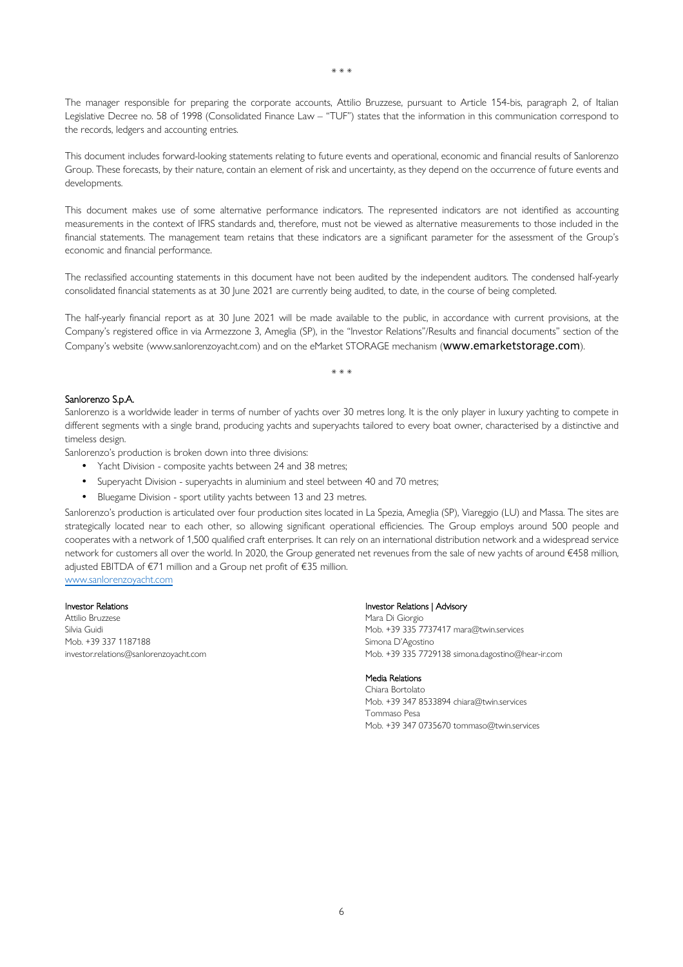\* \* \*

The manager responsible for preparing the corporate accounts, Attilio Bruzzese, pursuant to Article 154-bis, paragraph 2, of Italian Legislative Decree no. 58 of 1998 (Consolidated Finance Law – "TUF") states that the information in this communication correspond to the records, ledgers and accounting entries.

This document includes forward-looking statements relating to future events and operational, economic and financial results of Sanlorenzo Group. These forecasts, by their nature, contain an element of risk and uncertainty, as they depend on the occurrence of future events and developments.

This document makes use of some alternative performance indicators. The represented indicators are not identified as accounting measurements in the context of IFRS standards and, therefore, must not be viewed as alternative measurements to those included in the financial statements. The management team retains that these indicators are a significant parameter for the assessment of the Group's economic and financial performance.

The reclassified accounting statements in this document have not been audited by the independent auditors. The condensed half-yearly consolidated financial statements as at 30 June 2021 are currently being audited, to date, in the course of being completed.

The half-yearly financial report as at 30 June 2021 will be made available to the public, in accordance with current provisions, at the Company's registered office in via Armezzone 3, Ameglia (SP), in the "Investor Relations"/Results and financial documents" section of the Company's website (www.sanlorenzoyacht.com) and on the eMarket STORAGE mechanism (www.emarketstorage.com).

\* \* \*

#### Sanlorenzo S.p.A.

Sanlorenzo is a worldwide leader in terms of number of yachts over 30 metres long. It is the only player in luxury yachting to compete in different segments with a single brand, producing yachts and superyachts tailored to every boat owner, characterised by a distinctive and timeless design.

Sanlorenzo's production is broken down into three divisions:

- Yacht Division composite yachts between 24 and 38 metres;
- Superyacht Division superyachts in aluminium and steel between 40 and 70 metres;
- Bluegame Division sport utility yachts between 13 and 23 metres.

Sanlorenzo's production is articulated over four production sites located in La Spezia, Ameglia (SP), Viareggio (LU) and Massa. The sites are strategically located near to each other, so allowing significant operational efficiencies. The Group employs around 500 people and cooperates with a network of 1,500 qualified craft enterprises. It can rely on an international distribution network and a widespread service network for customers all over the world. In 2020, the Group generated net revenues from the sale of new yachts of around €458 million, adjusted EBITDA of €71 million and a Group net profit of €35 million. www.sanlorenzoyacht.com

#### Investor Relations

Attilio Bruzzese Silvia Guidi Mob. +39 337 1187188 investor.relations@sanlorenzoyacht.com

### Investor Relations | Advisory

Mara Di Giorgio Mob. +39 335 7737417 mara@twin.services Simona D'Agostino Mob. +39 335 7729138 simona.dagostino@hear-ir.com

#### Media Relations

Chiara Bortolato Mob. +39 347 8533894 chiara@twin.services Tommaso Pesa Mob. +39 347 0735670 tommaso@twin.services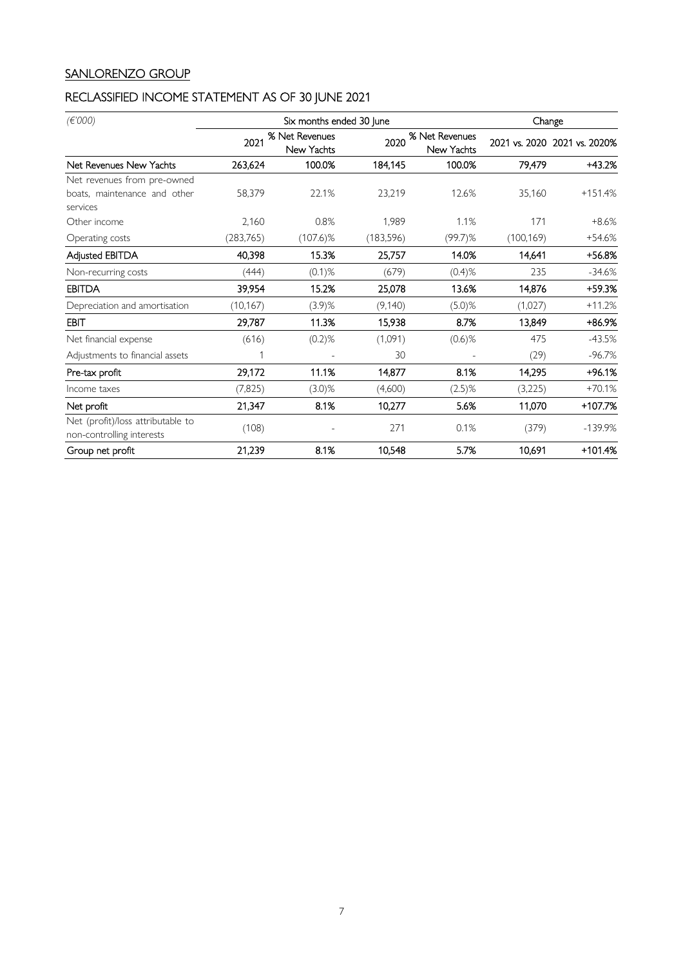## SANLORENZO GROUP

# RECLASSIFIED INCOME STATEMENT AS OF 30 JUNE 2021

| (E'000)                                                        |                                      | Six months ended 30 June |                                      | Change     |            |                              |
|----------------------------------------------------------------|--------------------------------------|--------------------------|--------------------------------------|------------|------------|------------------------------|
|                                                                | % Net Revenues<br>2021<br>New Yachts |                          | % Net Revenues<br>2020<br>New Yachts |            |            | 2021 vs. 2020 2021 vs. 2020% |
| Net Revenues New Yachts                                        | 263,624                              | 100.0%                   | 184,145                              | 100.0%     | 79,479     | +43.2%                       |
| Net revenues from pre-owned                                    |                                      |                          |                                      |            |            |                              |
| boats, maintenance and other<br>services                       | 58,379                               | 22.1%                    | 23,219                               | 12.6%      | 35,160     | $+151.4%$                    |
| Other income                                                   | 2,160                                | 0.8%                     | 1,989                                | 1.1%       | 171        | $+8.6%$                      |
| Operating costs                                                | (283,765)                            | $(107.6)\%$              | (183, 596)                           | $(99.7)$ % | (100, 169) | $+54.6%$                     |
| Adjusted EBITDA                                                | 40,398                               | 15.3%                    | 25,757                               | 14.0%      | 14,641     | +56.8%                       |
| Non-recurring costs                                            | (444)                                | $(0.1)$ %                | (679)                                | $(0.4)$ %  | 235        | $-34.6%$                     |
| <b>EBITDA</b>                                                  | 39,954                               | 15.2%                    | 25,078                               | 13.6%      | 14,876     | +59.3%                       |
| Depreciation and amortisation                                  | (10, 167)                            | $(3.9)$ %                | (9,140)                              | $(5.0)$ %  | (1,027)    | $+11.2%$                     |
| EBIT                                                           | 29,787                               | 11.3%                    | 15,938                               | 8.7%       | 13,849     | +86.9%                       |
| Net financial expense                                          | (616)                                | $(0.2)$ %                | (1,091)                              | $(0.6)$ %  | 475        | $-43.5%$                     |
| Adjustments to financial assets                                |                                      |                          | 30                                   |            | (29)       | $-96.7%$                     |
| Pre-tax profit                                                 | 29,172                               | 11.1%                    | 14,877                               | 8.1%       | 14,295     | $+96.1%$                     |
| Income taxes                                                   | (7, 825)                             | $(3.0)$ %                | (4,600)                              | $(2.5)$ %  | (3,225)    | $+70.1%$                     |
| Net profit                                                     | 21,347                               | 8.1%                     | 10,277                               | 5.6%       | 11,070     | +107.7%                      |
| Net (profit)/loss attributable to<br>non-controlling interests | (108)                                |                          | 271                                  | 0.1%       | (379)      | $-139.9%$                    |
| Group net profit                                               | 21,239                               | 8.1%                     | 10,548                               | 5.7%       | 10,691     | $+101.4%$                    |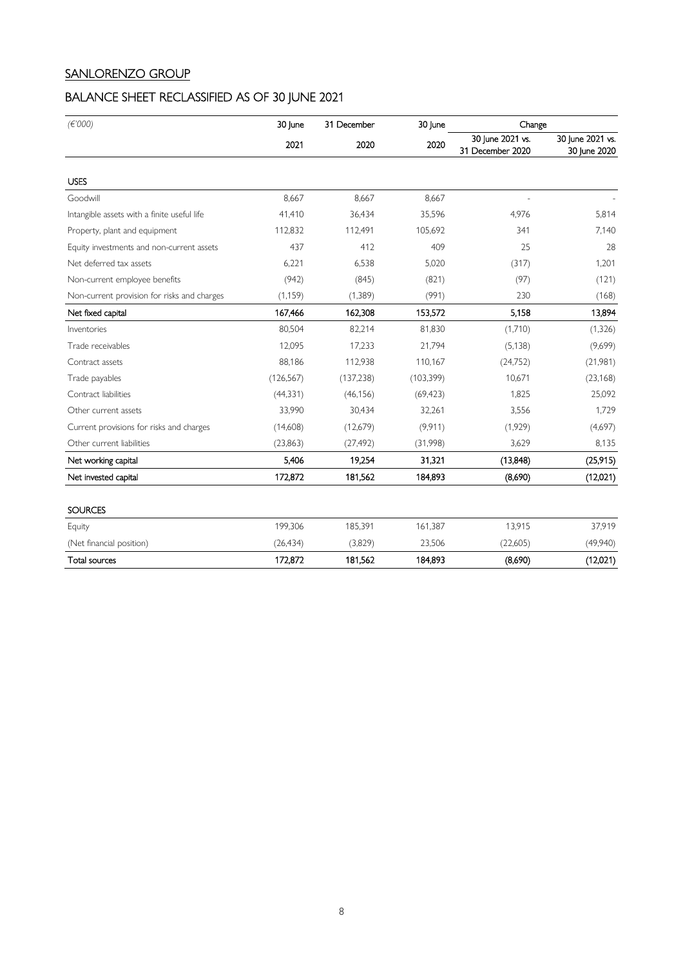## SANLORENZO GROUP

## BALANCE SHEET RECLASSIFIED AS OF 30 JUNE 2021

| (E'000)                                     | 30 June    | 31 December | 30 June    | Change                               |                                  |
|---------------------------------------------|------------|-------------|------------|--------------------------------------|----------------------------------|
|                                             | 2021       | 2020        | 2020       | 30 June 2021 vs.<br>31 December 2020 | 30 June 2021 vs.<br>30 June 2020 |
| <b>USES</b>                                 |            |             |            |                                      |                                  |
| Goodwill                                    | 8,667      | 8,667       | 8,667      |                                      |                                  |
| Intangible assets with a finite useful life | 41,410     | 36,434      | 35,596     | 4,976                                | 5,814                            |
| Property, plant and equipment               | 112,832    | 112,491     | 105,692    | 341                                  | 7,140                            |
| Equity investments and non-current assets   | 437        | 412         | 409        | 25                                   | 28                               |
| Net deferred tax assets                     | 6,221      | 6,538       | 5,020      | (317)                                | 1,201                            |
| Non-current employee benefits               | (942)      | (845)       | (821)      | (97)                                 | (121)                            |
| Non-current provision for risks and charges | (1, 159)   | (1, 389)    | (991)      | 230                                  | (168)                            |
| Net fixed capital                           | 167,466    | 162,308     | 153,572    | 5.158                                | 13,894                           |
| Inventories                                 | 80,504     | 82,214      | 81,830     | (1,710)                              | (1, 326)                         |
| Trade receivables                           | 12,095     | 17,233      | 21.794     | (5, 138)                             | (9,699)                          |
| Contract assets                             | 88,186     | 112,938     | 110,167    | (24, 752)                            | (21,981)                         |
| Trade payables                              | (126, 567) | (137, 238)  | (103, 399) | 10,671                               | (23, 168)                        |
| Contract liabilities                        | (44, 331)  | (46, 156)   | (69, 423)  | 1,825                                | 25,092                           |
| Other current assets                        | 33,990     | 30,434      | 32,261     | 3,556                                | 1,729                            |
| Current provisions for risks and charges    | (14,608)   | (12,679)    | (9,911)    | (1,929)                              | (4,697)                          |
| Other current liabilities                   | (23, 863)  | (27, 492)   | (31,998)   | 3,629                                | 8,135                            |
| Net working capital                         | 5,406      | 19,254      | 31,321     | (13,848)                             | (25, 915)                        |
| Net invested capital                        | 172,872    | 181,562     | 184,893    | (8,690)                              | (12,021)                         |
| <b>SOURCES</b>                              |            |             |            |                                      |                                  |
| Equity                                      | 199,306    | 185,391     | 161,387    | 13,915                               | 37,919                           |
| (Net financial position)                    | (26, 434)  | (3,829)     | 23,506     | (22,605)                             | (49,940)                         |
| <b>Total sources</b>                        | 172,872    | 181,562     | 184,893    | (8,690)                              | (12,021)                         |